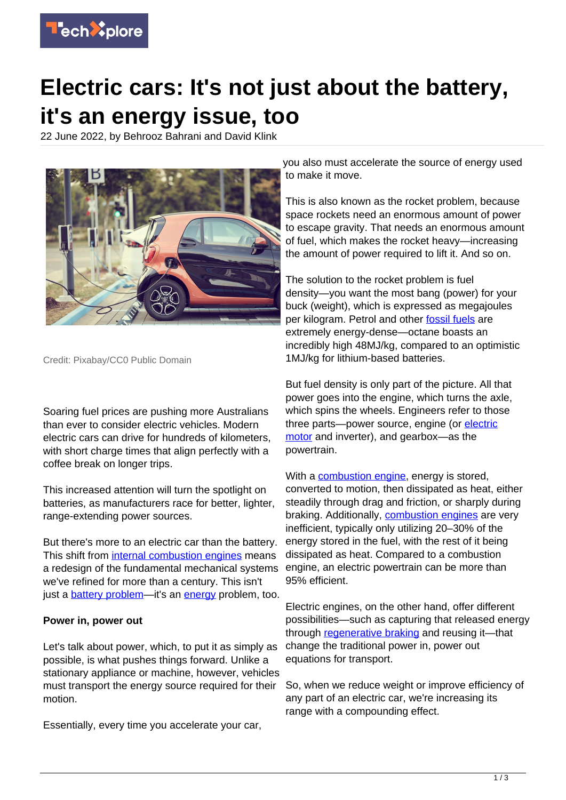

# **Electric cars: It's not just about the battery, it's an energy issue, too**

22 June 2022, by Behrooz Bahrani and David Klink



Credit: Pixabay/CC0 Public Domain

Soaring fuel prices are pushing more Australians than ever to consider electric vehicles. Modern electric cars can drive for hundreds of kilometers, with short charge times that align perfectly with a coffee break on longer trips.

This increased attention will turn the spotlight on batteries, as manufacturers race for better, lighter, range-extending power sources.

But there's more to an electric car than the battery. This shift from [internal combustion engines](https://techxplore.com/tags/internal+combustion+engines/) means a redesign of the fundamental mechanical systems we've refined for more than a century. This isn't just a **[battery problem](https://techxplore.com/tags/battery+problem/)**—it's an **[energy](https://techxplore.com/tags/energy/)** problem, too.

### **Power in, power out**

Let's talk about power, which, to put it as simply as possible, is what pushes things forward. Unlike a stationary appliance or machine, however, vehicles must transport the energy source required for their motion.

Essentially, every time you accelerate your car,

you also must accelerate the source of energy used to make it move.

This is also known as the rocket problem, because space rockets need an enormous amount of power to escape gravity. That needs an enormous amount of fuel, which makes the rocket heavy—increasing the amount of power required to lift it. And so on.

The solution to the rocket problem is fuel density—you want the most bang (power) for your buck (weight), which is expressed as megajoules per kilogram. Petrol and other [fossil fuels](https://techxplore.com/tags/fossil+fuels/) are extremely energy-dense—octane boasts an incredibly high 48MJ/kg, compared to an optimistic 1MJ/kg for lithium-based batteries.

But fuel density is only part of the picture. All that power goes into the engine, which turns the axle, which spins the wheels. Engineers refer to those three parts-power source, engine (or [electric](https://techxplore.com/tags/electric+motor/) [motor](https://techxplore.com/tags/electric+motor/) and inverter), and gearbox—as the powertrain.

With a **[combustion engine](https://techxplore.com/tags/combustion+engine/)**, energy is stored, converted to motion, then dissipated as heat, either steadily through drag and friction, or sharply during braking. Additionally, [combustion engines](https://techxplore.com/tags/combustion+engines/) are very inefficient, typically only utilizing 20–30% of the energy stored in the fuel, with the rest of it being dissipated as heat. Compared to a combustion engine, an electric powertrain can be more than 95% efficient.

Electric engines, on the other hand, offer different possibilities—such as capturing that released energy through [regenerative braking](https://techxplore.com/tags/regenerative+braking/) and reusing it—that change the traditional power in, power out equations for transport.

So, when we reduce weight or improve efficiency of any part of an electric car, we're increasing its range with a compounding effect.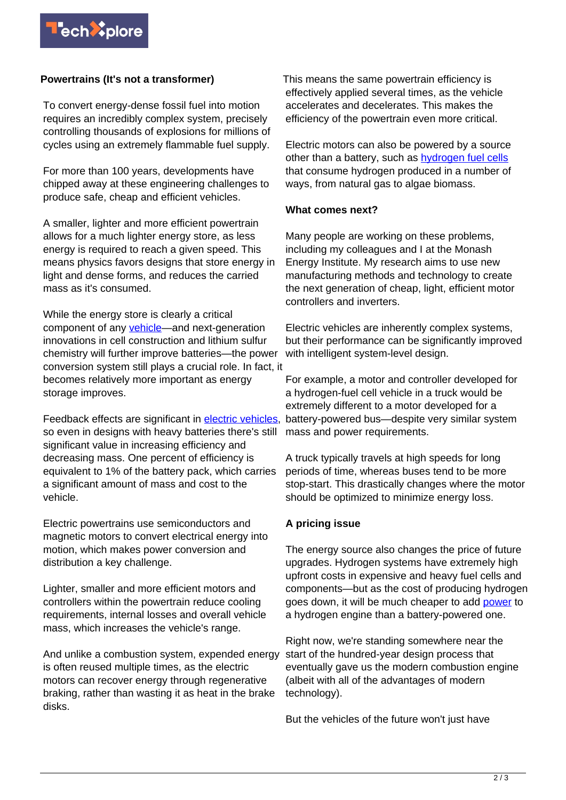## **Powertrains (It's not a transformer)**

To convert energy-dense fossil fuel into motion requires an incredibly complex system, precisely controlling thousands of explosions for millions of cycles using an extremely flammable fuel supply.

For more than 100 years, developments have chipped away at these engineering challenges to produce safe, cheap and efficient vehicles.

A smaller, lighter and more efficient powertrain allows for a much lighter energy store, as less energy is required to reach a given speed. This means physics favors designs that store energy in light and dense forms, and reduces the carried mass as it's consumed.

While the energy store is clearly a critical component of any [vehicle](https://techxplore.com/tags/vehicle/)—and next-generation innovations in cell construction and lithium sulfur chemistry will further improve batteries—the power conversion system still plays a crucial role. In fact, it becomes relatively more important as energy storage improves.

Feedback effects are significant in [electric vehicles](https://techxplore.com/tags/electric+vehicles/), so even in designs with heavy batteries there's still significant value in increasing efficiency and decreasing mass. One percent of efficiency is equivalent to 1% of the battery pack, which carries a significant amount of mass and cost to the vehicle.

Electric powertrains use semiconductors and magnetic motors to convert electrical energy into motion, which makes power conversion and distribution a key challenge.

Lighter, smaller and more efficient motors and controllers within the powertrain reduce cooling requirements, internal losses and overall vehicle mass, which increases the vehicle's range.

And unlike a combustion system, expended energy is often reused multiple times, as the electric motors can recover energy through regenerative braking, rather than wasting it as heat in the brake disks.

This means the same powertrain efficiency is effectively applied several times, as the vehicle accelerates and decelerates. This makes the efficiency of the powertrain even more critical.

Electric motors can also be powered by a source other than a battery, such as [hydrogen fuel cells](https://techxplore.com/tags/hydrogen+fuel+cells/) that consume hydrogen produced in a number of ways, from natural gas to algae biomass.

### **What comes next?**

Many people are working on these problems, including my colleagues and I at the Monash Energy Institute. My research aims to use new manufacturing methods and technology to create the next generation of cheap, light, efficient motor controllers and inverters.

Electric vehicles are inherently complex systems, but their performance can be significantly improved with intelligent system-level design.

For example, a motor and controller developed for a hydrogen-fuel cell vehicle in a truck would be extremely different to a motor developed for a battery-powered bus—despite very similar system mass and power requirements.

A truck typically travels at high speeds for long periods of time, whereas buses tend to be more stop-start. This drastically changes where the motor should be optimized to minimize energy loss.

## **A pricing issue**

The energy source also changes the price of future upgrades. Hydrogen systems have extremely high upfront costs in expensive and heavy fuel cells and components—but as the cost of producing hydrogen goes down, it will be much cheaper to add [power](https://techxplore.com/tags/power/) to a hydrogen engine than a battery-powered one.

Right now, we're standing somewhere near the start of the hundred-year design process that eventually gave us the modern combustion engine (albeit with all of the advantages of modern technology).

But the vehicles of the future won't just have